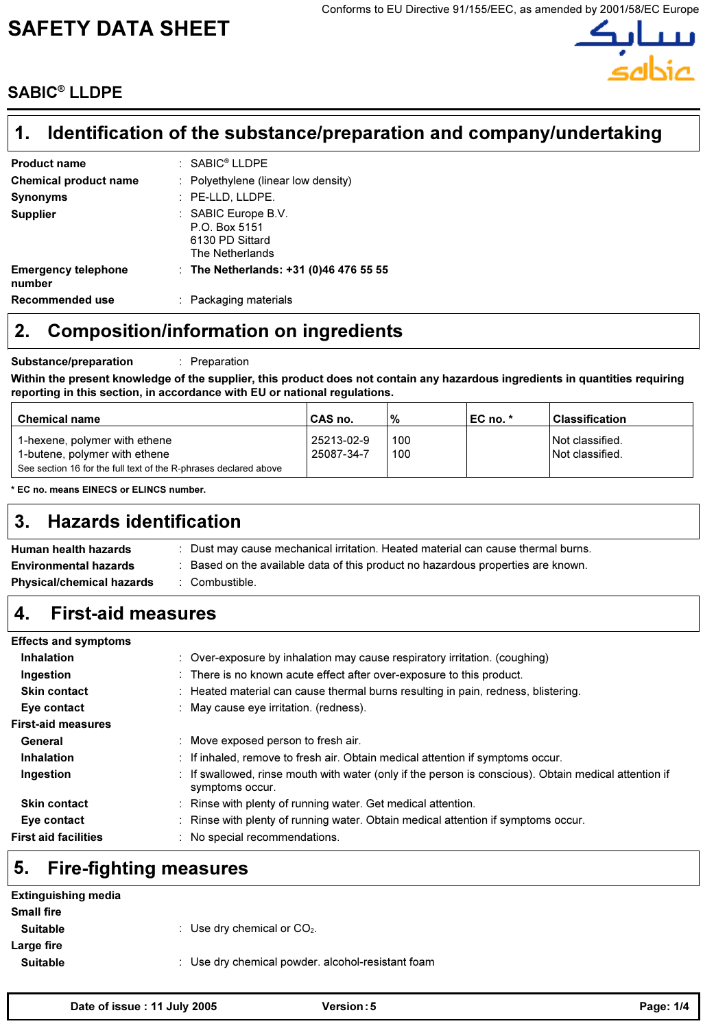# SAFETY DATA SHEET



# SABIC® LLDPE

#### Identification of the substance/preparation and company/undertaking 1.

| <b>Product name</b>                  | : SABIC <sup>®</sup> LLDPE                                                 |
|--------------------------------------|----------------------------------------------------------------------------|
| <b>Chemical product name</b>         | : Polyethylene (linear low density)                                        |
| <b>Synonyms</b>                      | : PE-LLD, LLDPE.                                                           |
| <b>Supplier</b>                      | : SABIC Europe B.V.<br>P.O. Box 5151<br>6130 PD Sittard<br>The Netherlands |
| <b>Emergency telephone</b><br>number | : The Netherlands: $+31$ (0)46 476 55 55                                   |
| Recommended use                      | : Packaging materials                                                      |
|                                      |                                                                            |

# 2. Composition/information on ingredients

Substance/preparation : Preparation

Within the present knowledge of the supplier, this product does not contain any hazardous ingredients in quantities requiring reporting in this section, in accordance with EU or national regulations.

| <b>Chemical name</b>                                                                                                               | CAS no.                  | '%         | ∣EC no. * | Classification                     |
|------------------------------------------------------------------------------------------------------------------------------------|--------------------------|------------|-----------|------------------------------------|
| 1-hexene, polymer with ethene<br>1-butene, polymer with ethene<br>See section 16 for the full text of the R-phrases declared above | 25213-02-9<br>25087-34-7 | 100<br>100 |           | Not classified.<br>Not classified. |

\* EC no. means EINECS or ELINCS number.

# 3. Hazards identification

| Human health hazards             | Dust may cause mechanical irritation. Heated material can cause thermal burns. |
|----------------------------------|--------------------------------------------------------------------------------|
| <b>Environmental hazards</b>     | Based on the available data of this product no hazardous properties are known. |
| <b>Physical/chemical hazards</b> | Combustible.                                                                   |

#### 4. First-aid measures

| <b>Effects and symptoms</b>               |                                                                                                                          |
|-------------------------------------------|--------------------------------------------------------------------------------------------------------------------------|
| <b>Inhalation</b>                         | $\therefore$ Over-exposure by inhalation may cause respiratory irritation. (coughing)                                    |
| Ingestion                                 | : There is no known acute effect after over-exposure to this product.                                                    |
| <b>Skin contact</b>                       | $\therefore$ Heated material can cause thermal burns resulting in pain, redness, blistering.                             |
| Eye contact                               | : May cause eye irritation. (redness).                                                                                   |
| <b>First-aid measures</b>                 |                                                                                                                          |
| General                                   | Move exposed person to fresh air.                                                                                        |
| <b>Inhalation</b><br>$\ddot{\phantom{a}}$ | If inhaled, remove to fresh air. Obtain medical attention if symptoms occur.                                             |
| Ingestion                                 | : If swallowed, rinse mouth with water (only if the person is conscious). Obtain medical attention if<br>symptoms occur. |
| <b>Skin contact</b>                       | Rinse with plenty of running water. Get medical attention.                                                               |
| Eye contact                               | Rinse with plenty of running water. Obtain medical attention if symptoms occur.                                          |
| <b>First aid facilities</b>               | No special recommendations.                                                                                              |

# 5. Fire-fighting measures

| <b>Extinguishing media</b> |                                                   |
|----------------------------|---------------------------------------------------|
| <b>Small fire</b>          |                                                   |
| <b>Suitable</b>            | : Use dry chemical or $CO2$ .                     |
| Large fire                 |                                                   |
| <b>Suitable</b>            | : Use dry chemical powder. alcohol-resistant foam |
|                            |                                                   |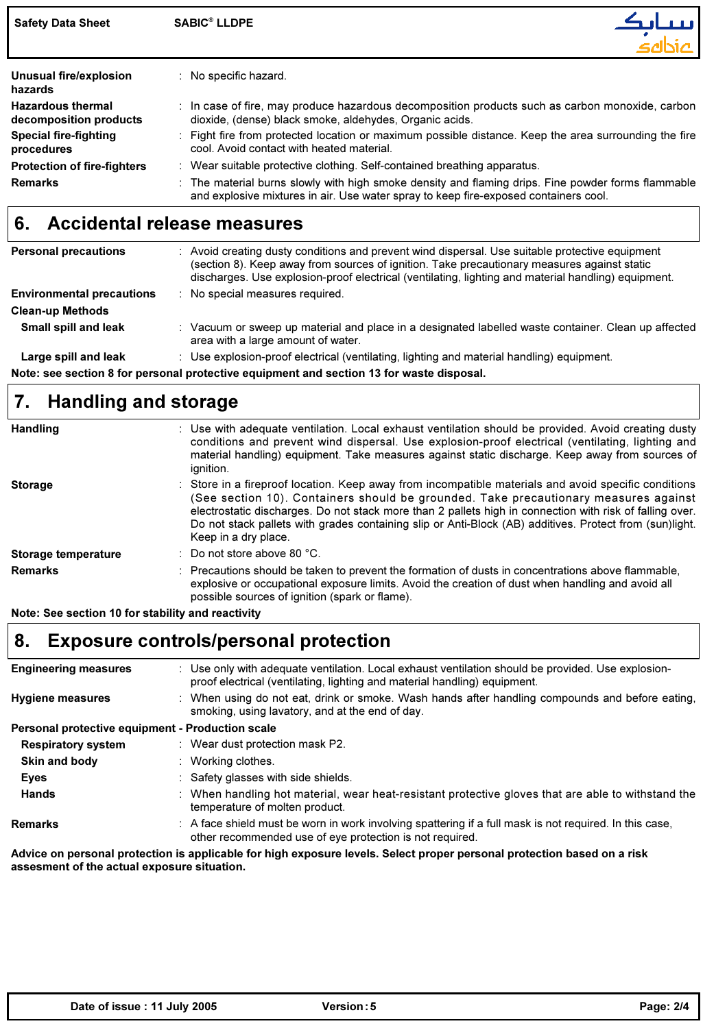| <b>Safety Data Sheet</b>                           | <b>SABIC<sup>®</sup> LLDPE</b>                                                                                                                                                             |
|----------------------------------------------------|--------------------------------------------------------------------------------------------------------------------------------------------------------------------------------------------|
| Unusual fire/explosion<br>hazards                  | : No specific hazard.                                                                                                                                                                      |
| <b>Hazardous thermal</b><br>decomposition products | $\therefore$ In case of fire, may produce hazardous decomposition products such as carbon monoxide, carbon<br>dioxide, (dense) black smoke, aldehydes, Organic acids.                      |
| <b>Special fire-fighting</b><br>procedures         | : Fight fire from protected location or maximum possible distance. Keep the area surrounding the fire<br>cool. Avoid contact with heated material.                                         |
| <b>Protection of fire-fighters</b>                 | : Wear suitable protective clothing. Self-contained breathing apparatus.                                                                                                                   |
| <b>Remarks</b>                                     | : The material burns slowly with high smoke density and flaming drips. Fine powder forms flammable<br>and explosive mixtures in air. Use water spray to keep fire-exposed containers cool. |

# 6. Accidental release measures

| <b>Personal precautions</b>      | Avoid creating dusty conditions and prevent wind dispersal. Use suitable protective equipment<br>(section 8). Keep away from sources of ignition. Take precautionary measures against static<br>discharges. Use explosion-proof electrical (ventilating, lighting and material handling) equipment. |
|----------------------------------|-----------------------------------------------------------------------------------------------------------------------------------------------------------------------------------------------------------------------------------------------------------------------------------------------------|
| <b>Environmental precautions</b> | No special measures required.                                                                                                                                                                                                                                                                       |
| <b>Clean-up Methods</b>          |                                                                                                                                                                                                                                                                                                     |
| <b>Small spill and leak</b>      | Vacuum or sweep up material and place in a designated labelled waste container. Clean up affected<br>area with a large amount of water.                                                                                                                                                             |
| Large spill and leak             | Use explosion-proof electrical (ventilating, lighting and material handling) equipment.                                                                                                                                                                                                             |

Note: see section 8 for personal protective equipment and section 13 for waste disposal.

#### Handling and storage 7.

| <b>Handling</b>     | : Use with adequate ventilation. Local exhaust ventilation should be provided. Avoid creating dusty<br>conditions and prevent wind dispersal. Use explosion-proof electrical (ventilating, lighting and<br>material handling) equipment. Take measures against static discharge. Keep away from sources of<br>ignition.                                                                                                                     |
|---------------------|---------------------------------------------------------------------------------------------------------------------------------------------------------------------------------------------------------------------------------------------------------------------------------------------------------------------------------------------------------------------------------------------------------------------------------------------|
| <b>Storage</b>      | : Store in a fireproof location. Keep away from incompatible materials and avoid specific conditions<br>(See section 10). Containers should be grounded. Take precautionary measures against<br>electrostatic discharges. Do not stack more than 2 pallets high in connection with risk of falling over.<br>Do not stack pallets with grades containing slip or Anti-Block (AB) additives. Protect from (sun)light.<br>Keep in a dry place. |
| Storage temperature | : Do not store above 80 $^{\circ}$ C.                                                                                                                                                                                                                                                                                                                                                                                                       |
| <b>Remarks</b>      | : Precautions should be taken to prevent the formation of dusts in concentrations above flammable.<br>explosive or occupational exposure limits. Avoid the creation of dust when handling and avoid all<br>possible sources of ignition (spark or flame).                                                                                                                                                                                   |

Note: See section 10 for stability and reactivity

# 8. Exposure controls/personal protection

| <b>Engineering measures</b>                      | : Use only with adequate ventilation. Local exhaust ventilation should be provided. Use explosion-<br>proof electrical (ventilating, lighting and material handling) equipment. |
|--------------------------------------------------|---------------------------------------------------------------------------------------------------------------------------------------------------------------------------------|
| <b>Hygiene measures</b>                          | : When using do not eat, drink or smoke. Wash hands after handling compounds and before eating,<br>smoking, using lavatory, and at the end of day.                              |
| Personal protective equipment - Production scale |                                                                                                                                                                                 |
| <b>Respiratory system</b>                        | : Wear dust protection mask P2.                                                                                                                                                 |
| Skin and body                                    | : Working clothes.                                                                                                                                                              |
| Eyes                                             | : Safety glasses with side shields.                                                                                                                                             |
| <b>Hands</b>                                     | : When handling hot material, wear heat-resistant protective gloves that are able to withstand the<br>temperature of molten product.                                            |
| <b>Remarks</b>                                   | : A face shield must be worn in work involving spattering if a full mask is not required. In this case,<br>other recommended use of eye protection is not required.             |

Advice on personal protection is applicable for high exposure levels. Select proper personal protection based on a risk assesment of the actual exposure situation.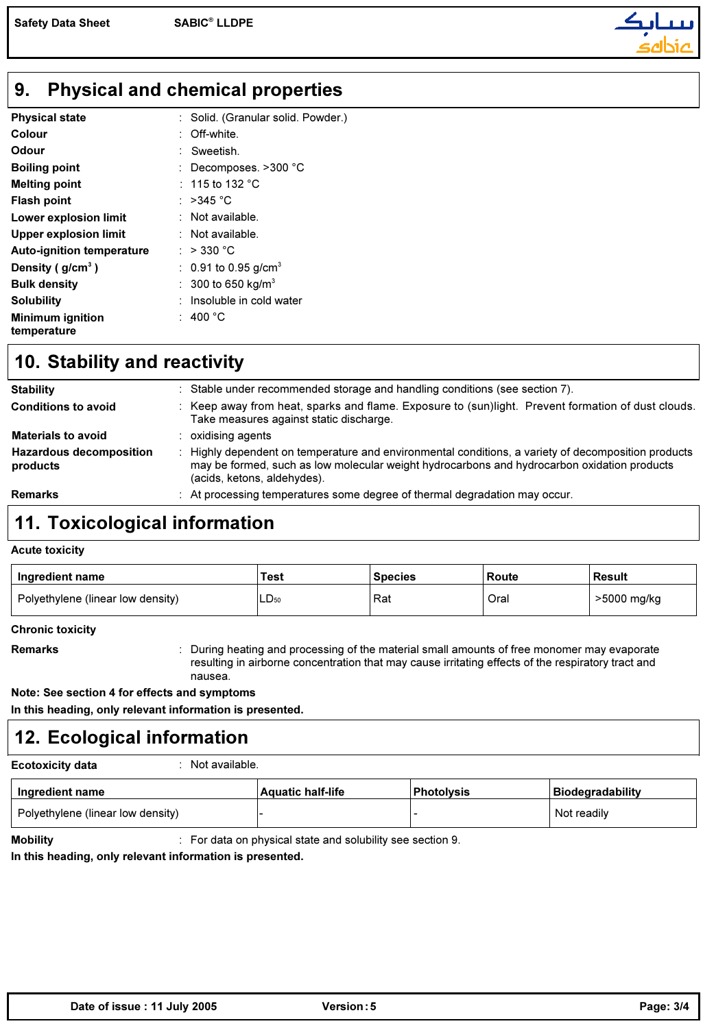

#### Physical and chemical properties 9.

| <b>Physical state</b>            | : Solid. (Granular solid. Powder.) |
|----------------------------------|------------------------------------|
| Colour                           | Off-white.                         |
| Odour                            | : Sweetish.                        |
| <b>Boiling point</b>             | Decomposes. >300 °C                |
| <b>Melting point</b>             | : 115 to 132 $^{\circ}$ C          |
| <b>Flash point</b>               | : >345 °C                          |
| Lower explosion limit            | $:$ Not available.                 |
| <b>Upper explosion limit</b>     | : Not available.                   |
| <b>Auto-ignition temperature</b> | : $>$ 330 °C                       |
| Density ( $g/cm3$ )              | : 0.91 to 0.95 g/cm <sup>3</sup>   |
| <b>Bulk density</b>              | : 300 to 650 kg/m <sup>3</sup>     |
| <b>Solubility</b>                | Insoluble in cold water            |
| <b>Minimum ignition</b>          | 400 $^{\circ}$ C                   |
| temperature                      |                                    |

## 10. Stability and reactivity

| <b>Remarks</b>                             | At processing temperatures some degree of thermal degradation may occur.                                                                                                                                                        |
|--------------------------------------------|---------------------------------------------------------------------------------------------------------------------------------------------------------------------------------------------------------------------------------|
| <b>Hazardous decomposition</b><br>products | Highly dependent on temperature and environmental conditions, a variety of decomposition products<br>may be formed, such as low molecular weight hydrocarbons and hydrocarbon oxidation products<br>(acids, ketons, aldehydes). |
| <b>Materials to avoid</b>                  | oxidising agents                                                                                                                                                                                                                |
| <b>Conditions to avoid</b>                 | Keep away from heat, sparks and flame. Exposure to (sun)light. Prevent formation of dust clouds.<br>Take measures against static discharge.                                                                                     |
| <b>Stability</b>                           | Stable under recommended storage and handling conditions (see section 7).                                                                                                                                                       |

## 11. Toxicological information

#### Acute toxicity

| Ingredient name                   | Test      | <b>Species</b> | Route | <b>Result</b> |
|-----------------------------------|-----------|----------------|-------|---------------|
| Polyethylene (linear low density) | $LD_{50}$ | Rat            | Oral  | >5000 mg/kg   |

Chronic toxicity

Remarks **induces in the During heating and processing of the material small amounts of free monomer may evaporate** resulting in airborne concentration that may cause irritating effects of the respiratory tract and nausea.

Note: See section 4 for effects and symptoms

In this heading, only relevant information is presented.

# 12. Ecological information

Ecotoxicity data : Not available.

| Ingredient name                   | <b>Aquatic half-life</b> | <b>Photolysis</b> | Biodegradability |
|-----------------------------------|--------------------------|-------------------|------------------|
| Polyethylene (linear low density) |                          |                   | Not readily      |

**Mobility Example 3** For data on physical state and solubility see section 9.

In this heading, only relevant information is presented.